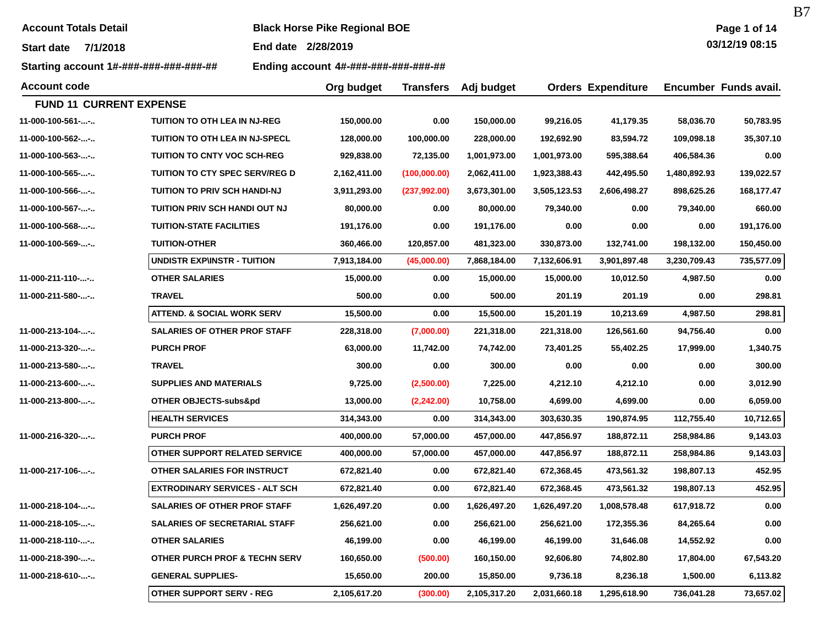| <b>Account Totals Detail</b> |  |
|------------------------------|--|
|                              |  |

**Account Totals Detail Black Horse Pike Regional BOE** 

**End date 2/28/2019**

**Starting account 1#-###-###-###-###-## Ending account 4#-###-###-###-###-##**

B7

| <b>Account code</b>            |                                       | Org budget   | <b>Transfers</b> | Adj budget   |              | <b>Orders Expenditure</b> |              | Encumber Funds avail. |
|--------------------------------|---------------------------------------|--------------|------------------|--------------|--------------|---------------------------|--------------|-----------------------|
| <b>FUND 11 CURRENT EXPENSE</b> |                                       |              |                  |              |              |                           |              |                       |
| 11-000-100-561--               | <b>TUITION TO OTH LEA IN NJ-REG</b>   | 150,000.00   | 0.00             | 150,000.00   | 99,216.05    | 41,179.35                 | 58,036.70    | 50,783.95             |
| 11-000-100-562--               | TUITION TO OTH LEA IN NJ-SPECL        | 128,000.00   | 100,000.00       | 228,000.00   | 192,692.90   | 83,594.72                 | 109,098.18   | 35,307.10             |
| 11-000-100-563--               | <b>TUITION TO CNTY VOC SCH-REG</b>    | 929,838.00   | 72,135.00        | 1,001,973.00 | 1,001,973.00 | 595,388.64                | 406,584.36   | 0.00                  |
| 11-000-100-565--               | <b>TUITION TO CTY SPEC SERV/REG D</b> | 2,162,411.00 | (100,000.00)     | 2,062,411.00 | 1,923,388.43 | 442,495.50                | 1,480,892.93 | 139,022.57            |
| 11-000-100-566--               | TUITION TO PRIV SCH HANDI-NJ          | 3,911,293.00 | (237,992.00)     | 3,673,301.00 | 3,505,123.53 | 2,606,498.27              | 898,625.26   | 168,177.47            |
| 11-000-100-567--               | TUITION PRIV SCH HANDI OUT NJ         | 80,000.00    | 0.00             | 80,000.00    | 79,340.00    | 0.00                      | 79,340.00    | 660.00                |
| 11-000-100-568--               | <b>TUITION-STATE FACILITIES</b>       | 191,176.00   | 0.00             | 191,176.00   | 0.00         | 0.00                      | 0.00         | 191,176.00            |
| 11-000-100-569--               | <b>TUITION-OTHER</b>                  | 360,466.00   | 120,857.00       | 481,323.00   | 330,873.00   | 132,741.00                | 198,132.00   | 150,450.00            |
|                                | <b>UNDISTR EXP\INSTR - TUITION</b>    | 7,913,184.00 | (45,000.00)      | 7,868,184.00 | 7,132,606.91 | 3,901,897.48              | 3,230,709.43 | 735,577.09            |
| 11-000-211-110--               | <b>OTHER SALARIES</b>                 | 15,000.00    | 0.00             | 15,000.00    | 15,000.00    | 10,012.50                 | 4,987.50     | 0.00                  |
| 11-000-211-580--               | <b>TRAVEL</b>                         | 500.00       | 0.00             | 500.00       | 201.19       | 201.19                    | 0.00         | 298.81                |
|                                | <b>ATTEND. &amp; SOCIAL WORK SERV</b> | 15,500.00    | 0.00             | 15,500.00    | 15,201.19    | 10,213.69                 | 4,987.50     | 298.81                |
| 11-000-213-104--               | <b>SALARIES OF OTHER PROF STAFF</b>   | 228,318.00   | (7,000.00)       | 221,318.00   | 221,318.00   | 126,561.60                | 94,756.40    | 0.00                  |
| 11-000-213-320--               | <b>PURCH PROF</b>                     | 63,000.00    | 11,742.00        | 74,742.00    | 73,401.25    | 55,402.25                 | 17,999.00    | 1,340.75              |
| 11-000-213-580--               | <b>TRAVEL</b>                         | 300.00       | 0.00             | 300.00       | 0.00         | 0.00                      | 0.00         | 300.00                |
| 11-000-213-600--               | <b>SUPPLIES AND MATERIALS</b>         | 9,725.00     | (2,500.00)       | 7,225.00     | 4,212.10     | 4,212.10                  | 0.00         | 3,012.90              |
| 11-000-213-800--               | OTHER OBJECTS-subs&pd                 | 13,000.00    | (2,242.00)       | 10,758.00    | 4,699.00     | 4,699.00                  | 0.00         | 6,059.00              |
|                                | <b>HEALTH SERVICES</b>                | 314,343.00   | 0.00             | 314,343.00   | 303,630.35   | 190,874.95                | 112,755.40   | 10,712.65             |
| 11-000-216-320--               | <b>PURCH PROF</b>                     | 400,000.00   | 57,000.00        | 457,000.00   | 447,856.97   | 188,872.11                | 258,984.86   | 9,143.03              |
|                                | OTHER SUPPORT RELATED SERVICE         | 400,000.00   | 57,000.00        | 457,000.00   | 447,856.97   | 188,872.11                | 258,984.86   | 9,143.03              |
| 11-000-217-106--               | OTHER SALARIES FOR INSTRUCT           | 672,821.40   | 0.00             | 672,821.40   | 672,368.45   | 473,561.32                | 198,807.13   | 452.95                |
|                                | <b>EXTRODINARY SERVICES - ALT SCH</b> | 672,821.40   | 0.00             | 672,821.40   | 672,368.45   | 473,561.32                | 198,807.13   | 452.95                |
| 11-000-218-104--               | <b>SALARIES OF OTHER PROF STAFF</b>   | 1,626,497.20 | 0.00             | 1,626,497.20 | 1,626,497.20 | 1,008,578.48              | 617,918.72   | 0.00                  |
| 11-000-218-105--               | <b>SALARIES OF SECRETARIAL STAFF</b>  | 256,621.00   | 0.00             | 256,621.00   | 256,621.00   | 172,355.36                | 84,265.64    | 0.00                  |
| 11-000-218-110--               | <b>OTHER SALARIES</b>                 | 46,199.00    | 0.00             | 46,199.00    | 46,199.00    | 31,646.08                 | 14,552.92    | 0.00                  |
| 11-000-218-390--               | OTHER PURCH PROF & TECHN SERV         | 160,650.00   | (500.00)         | 160,150.00   | 92,606.80    | 74,802.80                 | 17,804.00    | 67,543.20             |
| 11-000-218-610--               | <b>GENERAL SUPPLIES-</b>              | 15,650.00    | 200.00           | 15,850.00    | 9,736.18     | 8,236.18                  | 1,500.00     | 6,113.82              |
|                                | <b>OTHER SUPPORT SERV - REG</b>       | 2,105,617.20 | (300.00)         | 2,105,317.20 | 2,031,660.18 | 1,295,618.90              | 736,041.28   | 73,657.02             |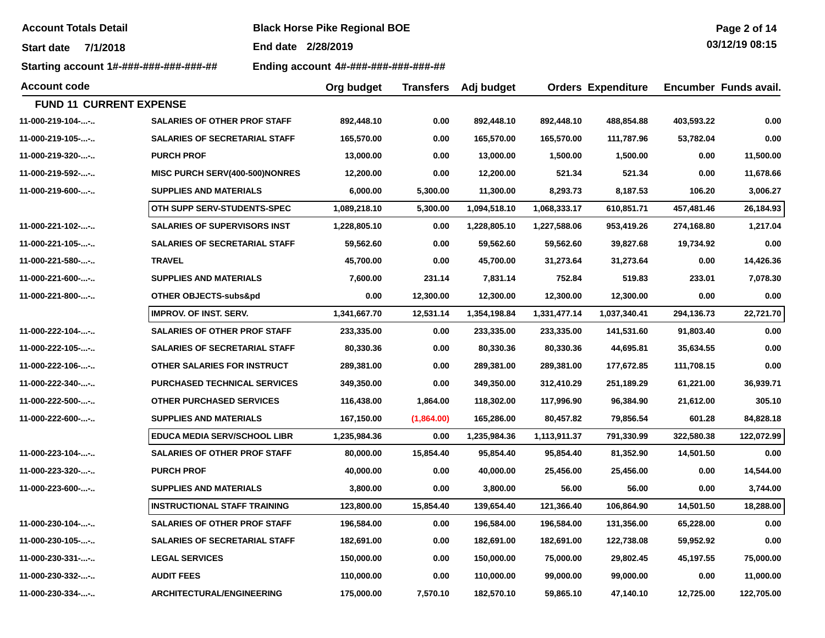**Account Totals Detail Black Horse Pike Regional BOE** 

**End date 2/28/2019**

**Starting account 1#-###-###-###-###-## Ending account 4#-###-###-###-###-##**

**Org budget** 

| Page 2 of 14 |  |  |
|--------------|--|--|
| 0.242400045  |  |  |

**03/12/19 08:15**

**Adj budget Orders Expenditure Encumber Funds avail.**

**Account code**

| <b>FUND 11 CURRENT EXPENSE</b> |                                      |              |            |              |              |              |            |            |
|--------------------------------|--------------------------------------|--------------|------------|--------------|--------------|--------------|------------|------------|
| 11-000-219-104--               | <b>SALARIES OF OTHER PROF STAFF</b>  | 892,448.10   | 0.00       | 892,448.10   | 892,448.10   | 488,854.88   | 403,593.22 | 0.00       |
| 11-000-219-105--               | <b>SALARIES OF SECRETARIAL STAFF</b> | 165,570.00   | 0.00       | 165,570.00   | 165,570.00   | 111,787.96   | 53,782.04  | 0.00       |
| 11-000-219-320--               | <b>PURCH PROF</b>                    | 13,000.00    | 0.00       | 13,000.00    | 1,500.00     | 1,500.00     | 0.00       | 11,500.00  |
| 11-000-219-592--               | MISC PURCH SERV(400-500)NONRES       | 12,200.00    | 0.00       | 12,200.00    | 521.34       | 521.34       | 0.00       | 11,678.66  |
| 11-000-219-600--               | <b>SUPPLIES AND MATERIALS</b>        | 6,000.00     | 5,300.00   | 11,300.00    | 8,293.73     | 8,187.53     | 106.20     | 3,006.27   |
|                                | OTH SUPP SERV-STUDENTS-SPEC          | 1,089,218.10 | 5,300.00   | 1,094,518.10 | 1,068,333.17 | 610,851.71   | 457,481.46 | 26,184.93  |
| 11-000-221-102--               | <b>SALARIES OF SUPERVISORS INST</b>  | 1,228,805.10 | 0.00       | 1,228,805.10 | 1,227,588.06 | 953,419.26   | 274,168.80 | 1,217.04   |
| 11-000-221-105--               | <b>SALARIES OF SECRETARIAL STAFF</b> | 59,562.60    | 0.00       | 59,562.60    | 59,562.60    | 39,827.68    | 19,734.92  | 0.00       |
| 11-000-221-580--               | <b>TRAVEL</b>                        | 45,700.00    | 0.00       | 45,700.00    | 31,273.64    | 31,273.64    | 0.00       | 14,426.36  |
| 11-000-221-600--               | <b>SUPPLIES AND MATERIALS</b>        | 7,600.00     | 231.14     | 7,831.14     | 752.84       | 519.83       | 233.01     | 7,078.30   |
| 11-000-221-800--               | OTHER OBJECTS-subs&pd                | 0.00         | 12,300.00  | 12,300.00    | 12,300.00    | 12,300.00    | 0.00       | 0.00       |
|                                | <b>IMPROV. OF INST. SERV.</b>        | 1,341,667.70 | 12,531.14  | 1,354,198.84 | 1,331,477.14 | 1,037,340.41 | 294,136.73 | 22,721.70  |
| 11-000-222-104--               | <b>SALARIES OF OTHER PROF STAFF</b>  | 233,335.00   | 0.00       | 233,335.00   | 233,335.00   | 141,531.60   | 91,803.40  | 0.00       |
| 11-000-222-105--               | <b>SALARIES OF SECRETARIAL STAFF</b> | 80,330.36    | 0.00       | 80,330.36    | 80,330.36    | 44,695.81    | 35,634.55  | 0.00       |
| 11-000-222-106--               | OTHER SALARIES FOR INSTRUCT          | 289,381.00   | 0.00       | 289,381.00   | 289,381.00   | 177,672.85   | 111,708.15 | 0.00       |
| $11-000-222-340-$              | <b>PURCHASED TECHNICAL SERVICES</b>  | 349,350.00   | 0.00       | 349,350.00   | 312,410.29   | 251,189.29   | 61,221.00  | 36,939.71  |
| 11-000-222-500--               | OTHER PURCHASED SERVICES             | 116,438.00   | 1,864.00   | 118,302.00   | 117,996.90   | 96,384.90    | 21,612.00  | 305.10     |
| 11-000-222-600--               | <b>SUPPLIES AND MATERIALS</b>        | 167,150.00   | (1,864.00) | 165,286.00   | 80,457.82    | 79,856.54    | 601.28     | 84,828.18  |
|                                | <b>EDUCA MEDIA SERV/SCHOOL LIBR</b>  | 1,235,984.36 | 0.00       | 1,235,984.36 | 1,113,911.37 | 791,330.99   | 322,580.38 | 122,072.99 |
| 11-000-223-104--               | <b>SALARIES OF OTHER PROF STAFF</b>  | 80,000.00    | 15,854.40  | 95,854.40    | 95,854.40    | 81,352.90    | 14,501.50  | 0.00       |
| 11-000-223-320--               | <b>PURCH PROF</b>                    | 40,000.00    | 0.00       | 40,000.00    | 25,456.00    | 25,456.00    | 0.00       | 14,544.00  |
| 11-000-223-600--               | <b>SUPPLIES AND MATERIALS</b>        | 3,800.00     | 0.00       | 3,800.00     | 56.00        | 56.00        | 0.00       | 3,744.00   |
|                                | <b>INSTRUCTIONAL STAFF TRAINING</b>  | 123,800.00   | 15,854.40  | 139,654.40   | 121,366.40   | 106,864.90   | 14,501.50  | 18,288.00  |
| 11-000-230-104--               | <b>SALARIES OF OTHER PROF STAFF</b>  | 196,584.00   | 0.00       | 196,584.00   | 196,584.00   | 131,356.00   | 65,228.00  | 0.00       |
| 11-000-230-105--               | <b>SALARIES OF SECRETARIAL STAFF</b> | 182,691.00   | 0.00       | 182,691.00   | 182,691.00   | 122,738.08   | 59,952.92  | 0.00       |
| 11-000-230-331--               | <b>LEGAL SERVICES</b>                | 150,000.00   | 0.00       | 150,000.00   | 75,000.00    | 29,802.45    | 45,197.55  | 75,000.00  |
| 11-000-230-332--               | <b>AUDIT FEES</b>                    | 110,000.00   | 0.00       | 110,000.00   | 99,000.00    | 99,000.00    | 0.00       | 11,000.00  |
| 11-000-230-334--               | <b>ARCHITECTURAL/ENGINEERING</b>     | 175,000.00   | 7,570.10   | 182,570.10   | 59,865.10    | 47,140.10    | 12,725.00  | 122,705.00 |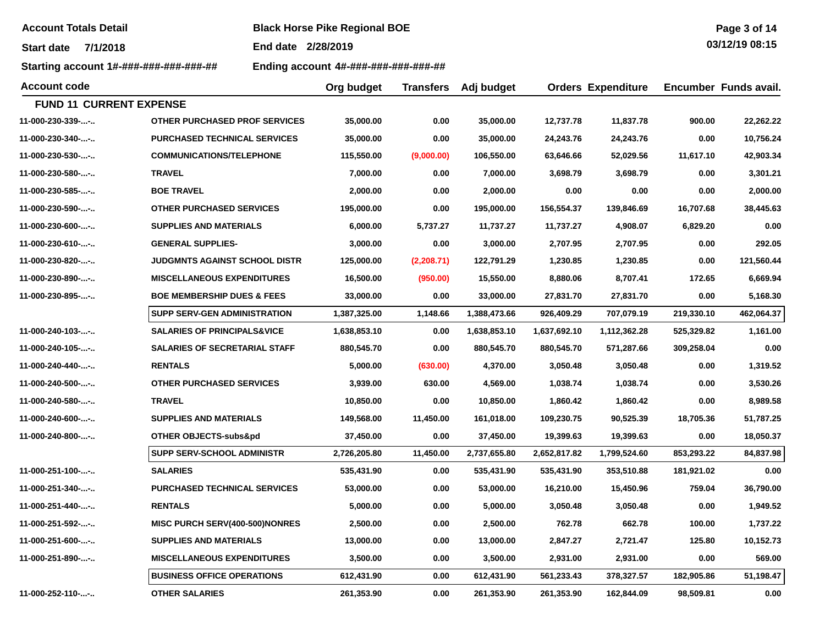**Account Totals Detail Black Horse Pike Regional BOE** 

**End date 2/28/2019**

**Starting account 1#-###-###-###-###-## Ending account 4#-###-###-###-###-##**

| <b>Account code</b>            |                                        | Org budget   | <b>Transfers</b> | Adj budget   |              | <b>Orders Expenditure</b> |            | Encumber Funds avail. |
|--------------------------------|----------------------------------------|--------------|------------------|--------------|--------------|---------------------------|------------|-----------------------|
| <b>FUND 11 CURRENT EXPENSE</b> |                                        |              |                  |              |              |                           |            |                       |
| 11-000-230-339--               | OTHER PURCHASED PROF SERVICES          | 35,000.00    | 0.00             | 35,000.00    | 12,737.78    | 11,837.78                 | 900.00     | 22,262.22             |
| 11-000-230-340--               | <b>PURCHASED TECHNICAL SERVICES</b>    | 35,000.00    | 0.00             | 35,000.00    | 24,243.76    | 24,243.76                 | 0.00       | 10,756.24             |
| 11-000-230-530--               | <b>COMMUNICATIONS/TELEPHONE</b>        | 115,550.00   | (9,000.00)       | 106,550.00   | 63,646.66    | 52,029.56                 | 11,617.10  | 42,903.34             |
| 11-000-230-580--               | <b>TRAVEL</b>                          | 7,000.00     | 0.00             | 7,000.00     | 3,698.79     | 3,698.79                  | 0.00       | 3,301.21              |
| 11-000-230-585--               | <b>BOE TRAVEL</b>                      | 2,000.00     | 0.00             | 2,000.00     | 0.00         | 0.00                      | 0.00       | 2,000.00              |
| 11-000-230-590--               | OTHER PURCHASED SERVICES               | 195,000.00   | 0.00             | 195,000.00   | 156,554.37   | 139,846.69                | 16,707.68  | 38,445.63             |
| 11-000-230-600--               | <b>SUPPLIES AND MATERIALS</b>          | 6,000.00     | 5,737.27         | 11,737.27    | 11,737.27    | 4,908.07                  | 6,829.20   | 0.00                  |
| 11-000-230-610--               | <b>GENERAL SUPPLIES-</b>               | 3,000.00     | 0.00             | 3,000.00     | 2,707.95     | 2,707.95                  | 0.00       | 292.05                |
| 11-000-230-820--               | <b>JUDGMNTS AGAINST SCHOOL DISTR</b>   | 125,000.00   | (2,208.71)       | 122,791.29   | 1,230.85     | 1,230.85                  | 0.00       | 121,560.44            |
| 11-000-230-890--               | <b>MISCELLANEOUS EXPENDITURES</b>      | 16,500.00    | (950.00)         | 15,550.00    | 8,880.06     | 8,707.41                  | 172.65     | 6,669.94              |
| 11-000-230-895--               | <b>BOE MEMBERSHIP DUES &amp; FEES</b>  | 33,000.00    | 0.00             | 33,000.00    | 27,831.70    | 27,831.70                 | 0.00       | 5,168.30              |
|                                | <b>SUPP SERV-GEN ADMINISTRATION</b>    | 1,387,325.00 | 1,148.66         | 1,388,473.66 | 926,409.29   | 707,079.19                | 219,330.10 | 462,064.37            |
| 11-000-240-103--               | <b>SALARIES OF PRINCIPALS&amp;VICE</b> | 1,638,853.10 | 0.00             | 1,638,853.10 | 1,637,692.10 | 1,112,362.28              | 525,329.82 | 1,161.00              |
| 11-000-240-105--               | <b>SALARIES OF SECRETARIAL STAFF</b>   | 880,545.70   | 0.00             | 880,545.70   | 880,545.70   | 571,287.66                | 309,258.04 | 0.00                  |
| 11-000-240-440--               | <b>RENTALS</b>                         | 5,000.00     | (630.00)         | 4,370.00     | 3,050.48     | 3,050.48                  | 0.00       | 1,319.52              |
| 11-000-240-500--               | OTHER PURCHASED SERVICES               | 3,939.00     | 630.00           | 4,569.00     | 1,038.74     | 1,038.74                  | 0.00       | 3,530.26              |
| 11-000-240-580--               | <b>TRAVEL</b>                          | 10,850.00    | 0.00             | 10,850.00    | 1,860.42     | 1,860.42                  | 0.00       | 8,989.58              |
| 11-000-240-600--               | <b>SUPPLIES AND MATERIALS</b>          | 149,568.00   | 11,450.00        | 161,018.00   | 109,230.75   | 90,525.39                 | 18,705.36  | 51,787.25             |
| 11-000-240-800--               | OTHER OBJECTS-subs&pd                  | 37,450.00    | 0.00             | 37,450.00    | 19,399.63    | 19,399.63                 | 0.00       | 18,050.37             |
|                                | <b>SUPP SERV-SCHOOL ADMINISTR</b>      | 2,726,205.80 | 11,450.00        | 2,737,655.80 | 2,652,817.82 | 1,799,524.60              | 853,293.22 | 84,837.98             |
| 11-000-251-100--               | <b>SALARIES</b>                        | 535,431.90   | 0.00             | 535,431.90   | 535,431.90   | 353,510.88                | 181,921.02 | 0.00                  |
| 11-000-251-340--               | <b>PURCHASED TECHNICAL SERVICES</b>    | 53,000.00    | 0.00             | 53,000.00    | 16,210.00    | 15,450.96                 | 759.04     | 36,790.00             |
| 11-000-251-440--               | <b>RENTALS</b>                         | 5,000.00     | 0.00             | 5,000.00     | 3,050.48     | 3,050.48                  | 0.00       | 1,949.52              |
| 11-000-251-592--               | <b>MISC PURCH SERV(400-500)NONRES</b>  | 2,500.00     | 0.00             | 2,500.00     | 762.78       | 662.78                    | 100.00     | 1,737.22              |
| 11-000-251-600--               | <b>SUPPLIES AND MATERIALS</b>          | 13,000.00    | 0.00             | 13,000.00    | 2,847.27     | 2,721.47                  | 125.80     | 10,152.73             |
| 11-000-251-890--               | <b>MISCELLANEOUS EXPENDITURES</b>      | 3,500.00     | 0.00             | 3,500.00     | 2,931.00     | 2,931.00                  | 0.00       | 569.00                |
|                                | <b>BUSINESS OFFICE OPERATIONS</b>      | 612,431.90   | 0.00             | 612,431.90   | 561,233.43   | 378,327.57                | 182,905.86 | 51,198.47             |
| 11-000-252-110--               | <b>OTHER SALARIES</b>                  | 261,353.90   | 0.00             | 261,353.90   | 261,353.90   | 162,844.09                | 98,509.81  | 0.00                  |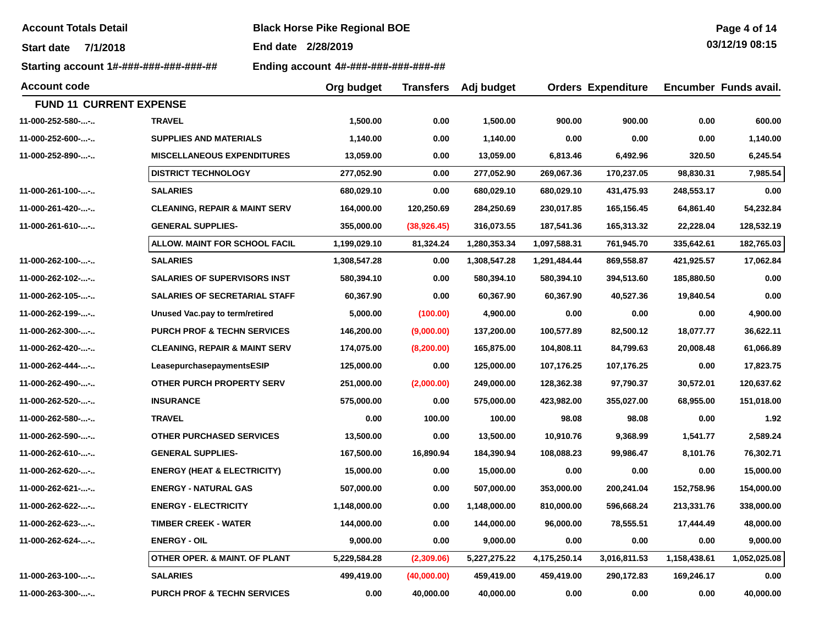**Account Totals Detail Black Horse Pike Regional BOE** 

**End date 2/28/2019**

**Starting account 1#-###-###-###-###-## Ending account 4#-###-###-###-###-##**

| Page 4 of 14   |
|----------------|
| 03/12/19 08:15 |
|                |

| <b>Account code</b>            |                                          | Org budget   | Transfers    | Adj budget   |              | <b>Orders Expenditure</b> |              | Encumber Funds avail. |
|--------------------------------|------------------------------------------|--------------|--------------|--------------|--------------|---------------------------|--------------|-----------------------|
| <b>FUND 11 CURRENT EXPENSE</b> |                                          |              |              |              |              |                           |              |                       |
| 11-000-252-580--               | <b>TRAVEL</b>                            | 1,500.00     | 0.00         | 1,500.00     | 900.00       | 900.00                    | 0.00         | 600.00                |
| 11-000-252-600--               | <b>SUPPLIES AND MATERIALS</b>            | 1,140.00     | 0.00         | 1,140.00     | 0.00         | 0.00                      | 0.00         | 1,140.00              |
| 11-000-252-890--               | <b>MISCELLANEOUS EXPENDITURES</b>        | 13,059.00    | 0.00         | 13,059.00    | 6,813.46     | 6,492.96                  | 320.50       | 6,245.54              |
|                                | <b>DISTRICT TECHNOLOGY</b>               | 277,052.90   | 0.00         | 277,052.90   | 269,067.36   | 170,237.05                | 98,830.31    | 7,985.54              |
| 11-000-261-100--               | <b>SALARIES</b>                          | 680,029.10   | 0.00         | 680,029.10   | 680,029.10   | 431,475.93                | 248,553.17   | 0.00                  |
| 11-000-261-420--               | <b>CLEANING, REPAIR &amp; MAINT SERV</b> | 164,000.00   | 120,250.69   | 284,250.69   | 230,017.85   | 165,156.45                | 64,861.40    | 54,232.84             |
| 11-000-261-610--               | <b>GENERAL SUPPLIES-</b>                 | 355,000.00   | (38, 926.45) | 316,073.55   | 187,541.36   | 165,313.32                | 22,228.04    | 128,532.19            |
|                                | ALLOW. MAINT FOR SCHOOL FACIL            | 1,199,029.10 | 81,324.24    | 1,280,353.34 | 1,097,588.31 | 761,945.70                | 335,642.61   | 182,765.03            |
| 11-000-262-100--               | <b>SALARIES</b>                          | 1,308,547.28 | 0.00         | 1,308,547.28 | 1,291,484.44 | 869,558.87                | 421,925.57   | 17,062.84             |
| 11-000-262-102--               | <b>SALARIES OF SUPERVISORS INST</b>      | 580,394.10   | 0.00         | 580,394.10   | 580,394.10   | 394,513.60                | 185,880.50   | 0.00                  |
| 11-000-262-105--               | <b>SALARIES OF SECRETARIAL STAFF</b>     | 60,367.90    | 0.00         | 60,367.90    | 60,367.90    | 40,527.36                 | 19,840.54    | 0.00                  |
| 11-000-262-199--               | Unused Vac.pay to term/retired           | 5,000.00     | (100.00)     | 4,900.00     | 0.00         | 0.00                      | 0.00         | 4,900.00              |
| 11-000-262-300--               | <b>PURCH PROF &amp; TECHN SERVICES</b>   | 146,200.00   | (9,000.00)   | 137,200.00   | 100,577.89   | 82,500.12                 | 18,077.77    | 36,622.11             |
| 11-000-262-420--               | <b>CLEANING, REPAIR &amp; MAINT SERV</b> | 174,075.00   | (8, 200.00)  | 165,875.00   | 104,808.11   | 84,799.63                 | 20,008.48    | 61,066.89             |
| 11-000-262-444--               | LeasepurchasepaymentsESIP                | 125,000.00   | 0.00         | 125,000.00   | 107,176.25   | 107,176.25                | 0.00         | 17,823.75             |
| 11-000-262-490--               | <b>OTHER PURCH PROPERTY SERV</b>         | 251,000.00   | (2,000.00)   | 249,000.00   | 128,362.38   | 97,790.37                 | 30,572.01    | 120,637.62            |
| 11-000-262-520--               | <b>INSURANCE</b>                         | 575,000.00   | 0.00         | 575,000.00   | 423,982.00   | 355,027.00                | 68,955.00    | 151,018.00            |
| 11-000-262-580--               | <b>TRAVEL</b>                            | 0.00         | 100.00       | 100.00       | 98.08        | 98.08                     | 0.00         | 1.92                  |
| 11-000-262-590--               | <b>OTHER PURCHASED SERVICES</b>          | 13,500.00    | 0.00         | 13,500.00    | 10,910.76    | 9,368.99                  | 1,541.77     | 2,589.24              |
| 11-000-262-610--               | <b>GENERAL SUPPLIES-</b>                 | 167,500.00   | 16,890.94    | 184,390.94   | 108,088.23   | 99,986.47                 | 8,101.76     | 76,302.71             |
| 11-000-262-620--               | <b>ENERGY (HEAT &amp; ELECTRICITY)</b>   | 15,000.00    | 0.00         | 15,000.00    | 0.00         | 0.00                      | 0.00         | 15,000.00             |
| 11-000-262-621--               | <b>ENERGY - NATURAL GAS</b>              | 507,000.00   | 0.00         | 507,000.00   | 353,000.00   | 200,241.04                | 152,758.96   | 154,000.00            |
| 11-000-262-622--               | <b>ENERGY - ELECTRICITY</b>              | 1,148,000.00 | 0.00         | 1,148,000.00 | 810,000.00   | 596,668.24                | 213,331.76   | 338,000.00            |
| 11-000-262-623--               | <b>TIMBER CREEK - WATER</b>              | 144,000.00   | 0.00         | 144,000.00   | 96,000.00    | 78,555.51                 | 17,444.49    | 48,000.00             |
| 11-000-262-624--               | <b>ENERGY - OIL</b>                      | 9,000.00     | 0.00         | 9,000.00     | 0.00         | 0.00                      | 0.00         | 9,000.00              |
|                                | OTHER OPER. & MAINT. OF PLANT            | 5,229,584.28 | (2,309.06)   | 5,227,275.22 | 4,175,250.14 | 3,016,811.53              | 1,158,438.61 | 1,052,025.08          |
| 11-000-263-100--               | <b>SALARIES</b>                          | 499,419.00   | (40,000.00)  | 459,419.00   | 459,419.00   | 290,172.83                | 169,246.17   | 0.00                  |
| 11-000-263-300--               | <b>PURCH PROF &amp; TECHN SERVICES</b>   | 0.00         | 40,000.00    | 40,000.00    | 0.00         | 0.00                      | 0.00         | 40,000.00             |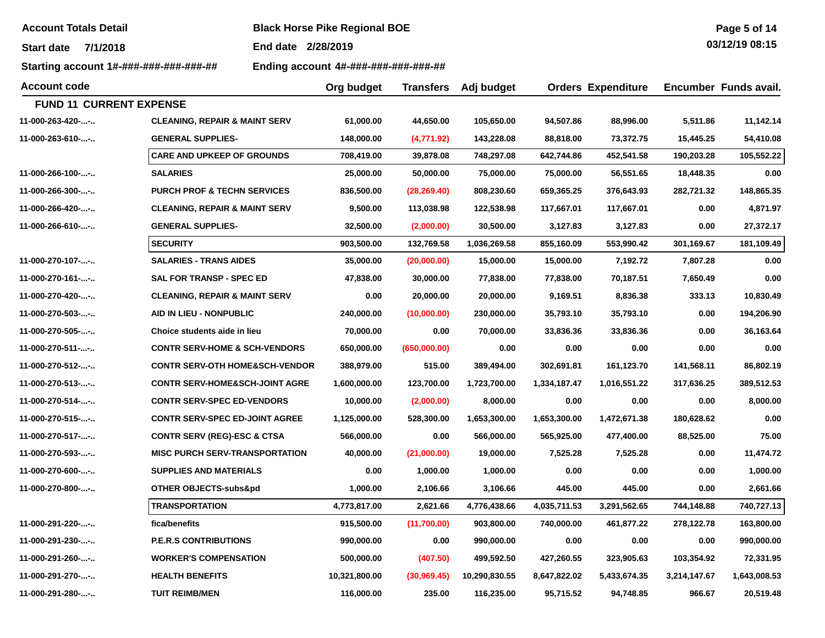| <b>Account Totals Detail</b> |  |  |
|------------------------------|--|--|
|------------------------------|--|--|

**Account Totals Detail Black Horse Pike Regional BOE** 

**Start date 7/1/2018End date 2/28/2019**

**Starting account 1#-###-###-###-###-## Ending account 4#-###-###-###-###-##**

| Page 5 of 14  |  |  |
|---------------|--|--|
| 0.0110110001F |  |  |

| <b>Account code</b>            |                                           | Org budget    | <b>Transfers</b> | Adj budget    |              | <b>Orders Expenditure</b> |              | Encumber Funds avail. |
|--------------------------------|-------------------------------------------|---------------|------------------|---------------|--------------|---------------------------|--------------|-----------------------|
| <b>FUND 11 CURRENT EXPENSE</b> |                                           |               |                  |               |              |                           |              |                       |
| 11-000-263-420--               | <b>CLEANING, REPAIR &amp; MAINT SERV</b>  | 61,000.00     | 44,650.00        | 105,650.00    | 94,507.86    | 88,996.00                 | 5,511.86     | 11,142.14             |
| 11-000-263-610--               | <b>GENERAL SUPPLIES-</b>                  | 148,000.00    | (4,771.92)       | 143,228.08    | 88,818.00    | 73,372.75                 | 15,445.25    | 54,410.08             |
|                                | <b>CARE AND UPKEEP OF GROUNDS</b>         | 708,419.00    | 39,878.08        | 748,297.08    | 642,744.86   | 452,541.58                | 190,203.28   | 105,552.22            |
| 11-000-266-100--               | <b>SALARIES</b>                           | 25,000.00     | 50,000.00        | 75,000.00     | 75,000.00    | 56,551.65                 | 18,448.35    | 0.00                  |
| 11-000-266-300--               | <b>PURCH PROF &amp; TECHN SERVICES</b>    | 836,500.00    | (28, 269.40)     | 808,230.60    | 659,365.25   | 376,643.93                | 282,721.32   | 148,865.35            |
| 11-000-266-420--               | <b>CLEANING, REPAIR &amp; MAINT SERV</b>  | 9,500.00      | 113,038.98       | 122,538.98    | 117,667.01   | 117,667.01                | 0.00         | 4,871.97              |
| 11-000-266-610--               | <b>GENERAL SUPPLIES-</b>                  | 32,500.00     | (2,000.00)       | 30,500.00     | 3,127.83     | 3,127.83                  | 0.00         | 27,372.17             |
|                                | <b>SECURITY</b>                           | 903,500.00    | 132,769.58       | 1,036,269.58  | 855,160.09   | 553,990.42                | 301,169.67   | 181,109.49            |
| 11-000-270-107--               | <b>SALARIES - TRANS AIDES</b>             | 35,000.00     | (20,000.00)      | 15,000.00     | 15,000.00    | 7,192.72                  | 7,807.28     | 0.00                  |
| 11-000-270-161--               | <b>SAL FOR TRANSP - SPEC ED</b>           | 47,838.00     | 30,000.00        | 77,838.00     | 77,838.00    | 70,187.51                 | 7,650.49     | 0.00                  |
| 11-000-270-420--               | <b>CLEANING, REPAIR &amp; MAINT SERV</b>  | 0.00          | 20,000.00        | 20,000.00     | 9,169.51     | 8,836.38                  | 333.13       | 10,830.49             |
| 11-000-270-503--               | AID IN LIEU - NONPUBLIC                   | 240,000.00    | (10,000.00)      | 230,000.00    | 35,793.10    | 35,793.10                 | 0.00         | 194,206.90            |
| 11-000-270-505--               | Choice students aide in lieu              | 70,000.00     | 0.00             | 70,000.00     | 33,836.36    | 33,836.36                 | 0.00         | 36,163.64             |
| 11-000-270-511--               | <b>CONTR SERV-HOME &amp; SCH-VENDORS</b>  | 650,000.00    | (650,000.00)     | 0.00          | 0.00         | 0.00                      | 0.00         | 0.00                  |
| 11-000-270-512--               | <b>CONTR SERV-OTH HOME&amp;SCH-VENDOR</b> | 388,979.00    | 515.00           | 389,494.00    | 302,691.81   | 161,123.70                | 141,568.11   | 86,802.19             |
| 11-000-270-513--               | <b>CONTR SERV-HOME&amp;SCH-JOINT AGRE</b> | 1,600,000.00  | 123,700.00       | 1,723,700.00  | 1,334,187.47 | 1,016,551.22              | 317,636.25   | 389,512.53            |
| 11-000-270-514--               | <b>CONTR SERV-SPEC ED-VENDORS</b>         | 10,000.00     | (2,000.00)       | 8,000.00      | 0.00         | 0.00                      | 0.00         | 8,000.00              |
| 11-000-270-515--               | <b>CONTR SERV-SPEC ED-JOINT AGREE</b>     | 1,125,000.00  | 528,300.00       | 1,653,300.00  | 1,653,300.00 | 1,472,671.38              | 180,628.62   | 0.00                  |
| 11-000-270-517--               | <b>CONTR SERV (REG)-ESC &amp; CTSA</b>    | 566,000.00    | 0.00             | 566,000.00    | 565,925.00   | 477,400.00                | 88,525.00    | 75.00                 |
| 11-000-270-593--               | <b>MISC PURCH SERV-TRANSPORTATION</b>     | 40,000.00     | (21,000.00)      | 19,000.00     | 7,525.28     | 7,525.28                  | 0.00         | 11,474.72             |
| 11-000-270-600--               | <b>SUPPLIES AND MATERIALS</b>             | 0.00          | 1,000.00         | 1,000.00      | 0.00         | 0.00                      | 0.00         | 1,000.00              |
| 11-000-270-800--               | <b>OTHER OBJECTS-subs&amp;pd</b>          | 1,000.00      | 2,106.66         | 3,106.66      | 445.00       | 445.00                    | 0.00         | 2,661.66              |
|                                | <b>TRANSPORTATION</b>                     | 4,773,817.00  | 2,621.66         | 4,776,438.66  | 4,035,711.53 | 3,291,562.65              | 744,148.88   | 740,727.13            |
| 11-000-291-220--               | fica/benefits                             | 915,500.00    | (11,700.00)      | 903,800.00    | 740,000.00   | 461,877.22                | 278,122.78   | 163,800.00            |
| 11-000-291-230--               | <b>P.E.R.S CONTRIBUTIONS</b>              | 990,000.00    | 0.00             | 990,000.00    | 0.00         | 0.00                      | 0.00         | 990,000.00            |
| 11-000-291-260--               | <b>WORKER'S COMPENSATION</b>              | 500,000.00    | (407.50)         | 499,592.50    | 427,260.55   | 323,905.63                | 103,354.92   | 72,331.95             |
| 11-000-291-270--               | <b>HEALTH BENEFITS</b>                    | 10,321,800.00 | (30,969.45)      | 10,290,830.55 | 8,647,822.02 | 5,433,674.35              | 3,214,147.67 | 1,643,008.53          |
| 11-000-291-280--               | <b>TUIT REIMB/MEN</b>                     | 116,000.00    | 235.00           | 116,235.00    | 95,715.52    | 94,748.85                 | 966.67       | 20,519.48             |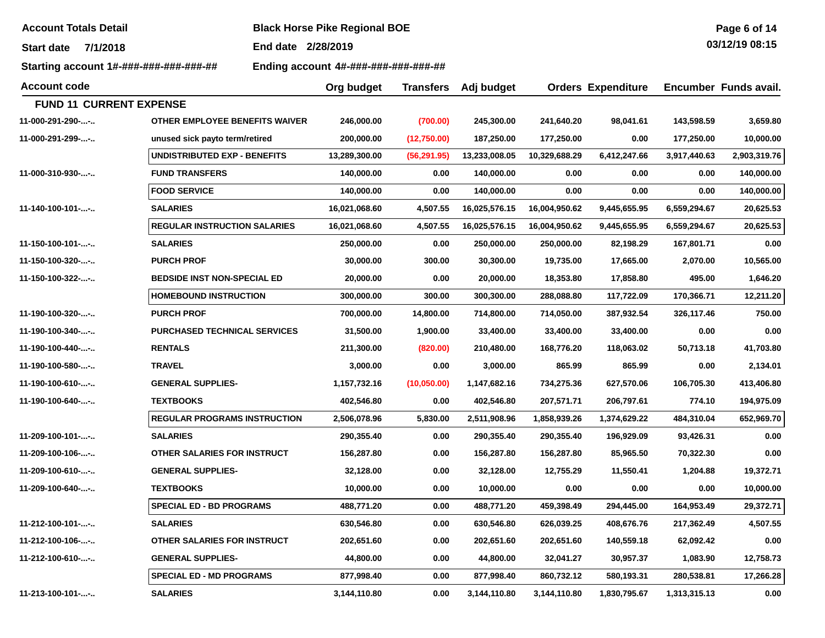| <b>Account Totals Detail</b> |  |  |
|------------------------------|--|--|
|------------------------------|--|--|

**Account Totals Detail Black Horse Pike Regional BOE** 

**Start date 7/1/2018End date 2/28/2019**

**Starting account 1#-###-###-###-###-## Ending account 4#-###-###-###-###-##**

| <b>Account code</b>             |                                       | Org budget    | <b>Transfers</b> | Adj budget    |               | <b>Orders Expenditure</b> |              | Encumber Funds avail. |
|---------------------------------|---------------------------------------|---------------|------------------|---------------|---------------|---------------------------|--------------|-----------------------|
| <b>FUND 11 CURRENT EXPENSE</b>  |                                       |               |                  |               |               |                           |              |                       |
| 11-000-291-290--                | <b>OTHER EMPLOYEE BENEFITS WAIVER</b> | 246,000.00    | (700.00)         | 245,300.00    | 241,640.20    | 98,041.61                 | 143,598.59   | 3,659.80              |
| 11-000-291-299--                | unused sick payto term/retired        | 200,000.00    | (12,750.00)      | 187,250.00    | 177,250.00    | 0.00                      | 177,250.00   | 10,000.00             |
|                                 | <b>UNDISTRIBUTED EXP - BENEFITS</b>   | 13,289,300.00 | (56, 291.95)     | 13,233,008.05 | 10,329,688.29 | 6,412,247.66              | 3,917,440.63 | 2,903,319.76          |
| 11-000-310-930--                | <b>FUND TRANSFERS</b>                 | 140,000.00    | 0.00             | 140,000.00    | 0.00          | 0.00                      | 0.00         | 140,000.00            |
|                                 | <b>FOOD SERVICE</b>                   | 140,000.00    | 0.00             | 140,000.00    | 0.00          | 0.00                      | 0.00         | 140,000.00            |
| 11-140-100-101--                | <b>SALARIES</b>                       | 16,021,068.60 | 4,507.55         | 16,025,576.15 | 16,004,950.62 | 9,445,655.95              | 6,559,294.67 | 20,625.53             |
|                                 | <b>REGULAR INSTRUCTION SALARIES</b>   | 16,021,068.60 | 4,507.55         | 16,025,576.15 | 16,004,950.62 | 9,445,655.95              | 6,559,294.67 | 20,625.53             |
| $11 - 150 - 100 - 101 - \ldots$ | <b>SALARIES</b>                       | 250,000.00    | 0.00             | 250,000.00    | 250,000.00    | 82,198.29                 | 167,801.71   | 0.00                  |
| 11-150-100-320--                | <b>PURCH PROF</b>                     | 30,000.00     | 300.00           | 30,300.00     | 19,735.00     | 17,665.00                 | 2,070.00     | 10,565.00             |
| 11-150-100-322--                | <b>BEDSIDE INST NON-SPECIAL ED</b>    | 20,000.00     | 0.00             | 20,000.00     | 18,353.80     | 17,858.80                 | 495.00       | 1,646.20              |
|                                 | <b>HOMEBOUND INSTRUCTION</b>          | 300,000.00    | 300.00           | 300,300.00    | 288,088.80    | 117,722.09                | 170,366.71   | 12,211.20             |
| 11-190-100-320--                | <b>PURCH PROF</b>                     | 700,000.00    | 14,800.00        | 714,800.00    | 714,050.00    | 387,932.54                | 326,117.46   | 750.00                |
| 11-190-100-340--                | <b>PURCHASED TECHNICAL SERVICES</b>   | 31,500.00     | 1,900.00         | 33,400.00     | 33,400.00     | 33,400.00                 | 0.00         | 0.00                  |
| 11-190-100-440--                | <b>RENTALS</b>                        | 211,300.00    | (820.00)         | 210,480.00    | 168,776.20    | 118,063.02                | 50,713.18    | 41,703.80             |
| 11-190-100-580--                | <b>TRAVEL</b>                         | 3,000.00      | 0.00             | 3,000.00      | 865.99        | 865.99                    | 0.00         | 2,134.01              |
| 11-190-100-610--                | <b>GENERAL SUPPLIES-</b>              | 1,157,732.16  | (10,050.00)      | 1,147,682.16  | 734,275.36    | 627,570.06                | 106,705.30   | 413,406.80            |
| 11-190-100-640--                | <b>TEXTBOOKS</b>                      | 402,546.80    | 0.00             | 402,546.80    | 207,571.71    | 206,797.61                | 774.10       | 194,975.09            |
|                                 | <b>REGULAR PROGRAMS INSTRUCTION</b>   | 2,506,078.96  | 5,830.00         | 2,511,908.96  | 1,858,939.26  | 1,374,629.22              | 484,310.04   | 652,969.70            |
| 11-209-100-101--                | <b>SALARIES</b>                       | 290,355.40    | 0.00             | 290,355.40    | 290,355.40    | 196,929.09                | 93,426.31    | 0.00                  |
| 11-209-100-106--                | OTHER SALARIES FOR INSTRUCT           | 156,287.80    | 0.00             | 156,287.80    | 156,287.80    | 85,965.50                 | 70,322.30    | 0.00                  |
| 11-209-100-610--                | <b>GENERAL SUPPLIES-</b>              | 32,128.00     | 0.00             | 32,128.00     | 12,755.29     | 11,550.41                 | 1,204.88     | 19,372.71             |
| 11-209-100-640--                | <b>TEXTBOOKS</b>                      | 10,000.00     | 0.00             | 10,000.00     | 0.00          | 0.00                      | 0.00         | 10,000.00             |
|                                 | <b>SPECIAL ED - BD PROGRAMS</b>       | 488,771.20    | 0.00             | 488,771.20    | 459,398.49    | 294,445.00                | 164,953.49   | 29,372.71             |
| 11-212-100-101--                | <b>SALARIES</b>                       | 630,546.80    | 0.00             | 630,546.80    | 626,039.25    | 408,676.76                | 217,362.49   | 4,507.55              |
| 11-212-100-106--                | OTHER SALARIES FOR INSTRUCT           | 202,651.60    | 0.00             | 202,651.60    | 202,651.60    | 140,559.18                | 62,092.42    | 0.00                  |
| 11-212-100-610--                | <b>GENERAL SUPPLIES-</b>              | 44,800.00     | 0.00             | 44,800.00     | 32,041.27     | 30,957.37                 | 1,083.90     | 12,758.73             |
|                                 | <b>SPECIAL ED - MD PROGRAMS</b>       | 877,998.40    | 0.00             | 877,998.40    | 860,732.12    | 580,193.31                | 280,538.81   | 17,266.28             |
| 11-213-100-101--                | <b>SALARIES</b>                       | 3,144,110.80  | 0.00             | 3,144,110.80  | 3,144,110.80  | 1,830,795.67              | 1,313,315.13 | 0.00                  |

**Page 6 of 14 03/12/19 08:15**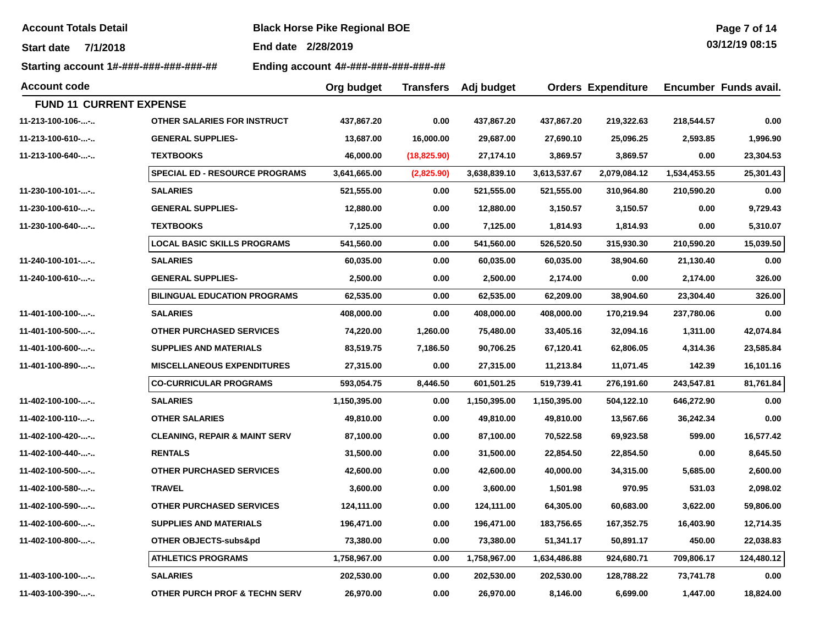**Account Totals Detail Black Horse Pike Regional BOE** 

**Start date 7/1/2018End date 2/28/2019**

**Starting account 1#-###-###-###-###-## Ending account 4#-###-###-###-###-##**

| Page 7 of 14   |  |
|----------------|--|
| 03/12/19 08:15 |  |

| <b>Account code</b>            |                                          | Org budget   | <b>Transfers</b> | Adj budget   |              | <b>Orders Expenditure</b> |              | Encumber Funds avail. |
|--------------------------------|------------------------------------------|--------------|------------------|--------------|--------------|---------------------------|--------------|-----------------------|
| <b>FUND 11 CURRENT EXPENSE</b> |                                          |              |                  |              |              |                           |              |                       |
| 11-213-100-106--               | OTHER SALARIES FOR INSTRUCT              | 437,867.20   | 0.00             | 437,867.20   | 437,867.20   | 219,322.63                | 218,544.57   | 0.00                  |
| 11-213-100-610--               | <b>GENERAL SUPPLIES-</b>                 | 13,687.00    | 16,000.00        | 29,687.00    | 27,690.10    | 25,096.25                 | 2,593.85     | 1,996.90              |
| 11-213-100-640--               | <b>TEXTBOOKS</b>                         | 46,000.00    | (18, 825.90)     | 27,174.10    | 3,869.57     | 3,869.57                  | 0.00         | 23,304.53             |
|                                | <b>SPECIAL ED - RESOURCE PROGRAMS</b>    | 3,641,665.00 | (2,825.90)       | 3,638,839.10 | 3,613,537.67 | 2,079,084.12              | 1,534,453.55 | 25,301.43             |
| 11-230-100-101--               | <b>SALARIES</b>                          | 521,555.00   | 0.00             | 521,555.00   | 521,555.00   | 310,964.80                | 210,590.20   | 0.00                  |
| 11-230-100-610--               | <b>GENERAL SUPPLIES-</b>                 | 12,880.00    | 0.00             | 12,880.00    | 3,150.57     | 3,150.57                  | 0.00         | 9,729.43              |
| 11-230-100-640--               | <b>TEXTBOOKS</b>                         | 7,125.00     | 0.00             | 7,125.00     | 1,814.93     | 1,814.93                  | 0.00         | 5,310.07              |
|                                | <b>LOCAL BASIC SKILLS PROGRAMS</b>       | 541,560.00   | 0.00             | 541,560.00   | 526,520.50   | 315,930.30                | 210,590.20   | 15,039.50             |
| 11-240-100-101--               | <b>SALARIES</b>                          | 60,035.00    | 0.00             | 60,035.00    | 60,035.00    | 38,904.60                 | 21,130.40    | 0.00                  |
| 11-240-100-610--               | <b>GENERAL SUPPLIES-</b>                 | 2,500.00     | 0.00             | 2,500.00     | 2,174.00     | 0.00                      | 2,174.00     | 326.00                |
|                                | <b>BILINGUAL EDUCATION PROGRAMS</b>      | 62,535.00    | 0.00             | 62,535.00    | 62,209.00    | 38,904.60                 | 23,304.40    | 326.00                |
| 11-401-100-100--               | <b>SALARIES</b>                          | 408,000.00   | 0.00             | 408,000.00   | 408,000.00   | 170,219.94                | 237,780.06   | 0.00                  |
| 11-401-100-500--               | <b>OTHER PURCHASED SERVICES</b>          | 74,220.00    | 1,260.00         | 75,480.00    | 33,405.16    | 32,094.16                 | 1,311.00     | 42,074.84             |
| 11-401-100-600--               | <b>SUPPLIES AND MATERIALS</b>            | 83,519.75    | 7,186.50         | 90,706.25    | 67,120.41    | 62,806.05                 | 4,314.36     | 23,585.84             |
| 11-401-100-890--               | <b>MISCELLANEOUS EXPENDITURES</b>        | 27,315.00    | 0.00             | 27,315.00    | 11,213.84    | 11,071.45                 | 142.39       | 16,101.16             |
|                                | <b>CO-CURRICULAR PROGRAMS</b>            | 593,054.75   | 8,446.50         | 601,501.25   | 519,739.41   | 276,191.60                | 243,547.81   | 81,761.84             |
| 11-402-100-100--               | <b>SALARIES</b>                          | 1,150,395.00 | 0.00             | 1,150,395.00 | 1,150,395.00 | 504,122.10                | 646,272.90   | 0.00                  |
| 11-402-100-110--               | <b>OTHER SALARIES</b>                    | 49,810.00    | 0.00             | 49,810.00    | 49,810.00    | 13,567.66                 | 36,242.34    | 0.00                  |
| 11-402-100-420--               | <b>CLEANING, REPAIR &amp; MAINT SERV</b> | 87,100.00    | 0.00             | 87,100.00    | 70,522.58    | 69,923.58                 | 599.00       | 16,577.42             |
| 11-402-100-440--               | <b>RENTALS</b>                           | 31,500.00    | 0.00             | 31,500.00    | 22,854.50    | 22,854.50                 | 0.00         | 8,645.50              |
| 11-402-100-500--               | <b>OTHER PURCHASED SERVICES</b>          | 42,600.00    | 0.00             | 42,600.00    | 40,000.00    | 34,315.00                 | 5,685.00     | 2,600.00              |
| 11-402-100-580--               | <b>TRAVEL</b>                            | 3,600.00     | 0.00             | 3,600.00     | 1,501.98     | 970.95                    | 531.03       | 2,098.02              |
| 11-402-100-590--               | <b>OTHER PURCHASED SERVICES</b>          | 124,111.00   | 0.00             | 124,111.00   | 64,305.00    | 60,683.00                 | 3,622.00     | 59,806.00             |
| 11-402-100-600--               | <b>SUPPLIES AND MATERIALS</b>            | 196,471.00   | 0.00             | 196,471.00   | 183,756.65   | 167,352.75                | 16,403.90    | 12,714.35             |
| 11-402-100-800--               | OTHER OBJECTS-subs&pd                    | 73,380.00    | 0.00             | 73,380.00    | 51,341.17    | 50,891.17                 | 450.00       | 22,038.83             |
|                                | <b>ATHLETICS PROGRAMS</b>                | 1,758,967.00 | 0.00             | 1,758,967.00 | 1,634,486.88 | 924,680.71                | 709,806.17   | 124,480.12            |
| 11-403-100-100--               | <b>SALARIES</b>                          | 202,530.00   | 0.00             | 202,530.00   | 202,530.00   | 128,788.22                | 73,741.78    | 0.00                  |
| 11-403-100-390--               | <b>OTHER PURCH PROF &amp; TECHN SERV</b> | 26,970.00    | 0.00             | 26,970.00    | 8,146.00     | 6,699.00                  | 1,447.00     | 18,824.00             |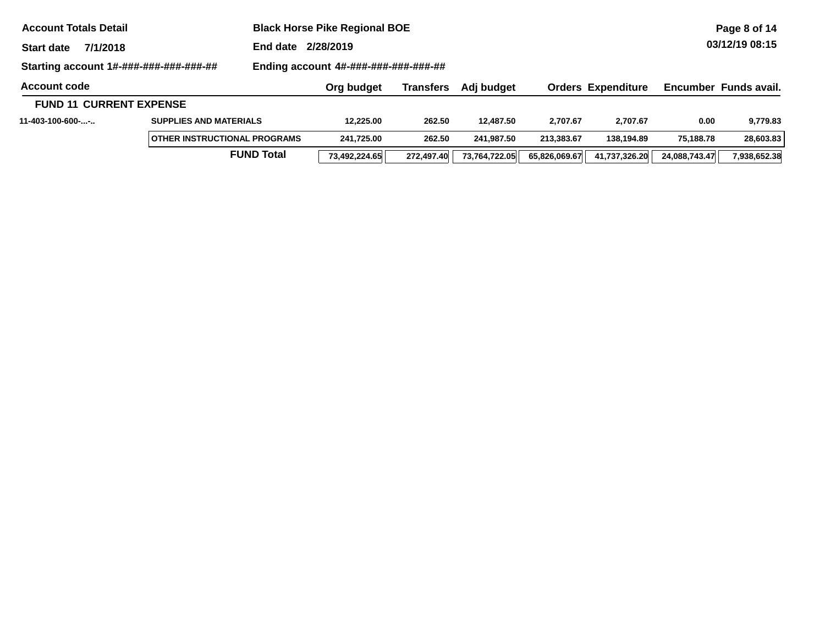| <b>Account Totals Detail</b>           | <b>Black Horse Pike Regional BOE</b> |                   |                                      |                  | Page 8 of 14  |               |                           |               |                       |
|----------------------------------------|--------------------------------------|-------------------|--------------------------------------|------------------|---------------|---------------|---------------------------|---------------|-----------------------|
| 7/1/2018<br><b>Start date</b>          |                                      | End date          | 2/28/2019                            |                  |               |               |                           |               | 03/12/19 08:15        |
| Starting account 1#-###-###-###-###-## |                                      |                   | Ending account 4#-###-###-###-###-## |                  |               |               |                           |               |                       |
| <b>Account code</b>                    |                                      |                   | Org budget                           | <b>Transfers</b> | Adj budget    |               | <b>Orders Expenditure</b> |               | Encumber Funds avail. |
| <b>FUND 11 CURRENT EXPENSE</b>         |                                      |                   |                                      |                  |               |               |                           |               |                       |
| 11-403-100-600--                       | <b>SUPPLIES AND MATERIALS</b>        |                   | 12.225.00                            | 262.50           | 12.487.50     | 2.707.67      | 2.707.67                  | 0.00          | 9,779.83              |
|                                        | <b>OTHER INSTRUCTIONAL PROGRAMS</b>  |                   | 241.725.00                           | 262.50           | 241.987.50    | 213.383.67    | 138.194.89                | 75.188.78     | 28,603.83             |
|                                        |                                      | <b>FUND Total</b> | 73,492,224.65                        | 272.497.40       | 73,764,722.05 | 65,826,069.67 | 41,737,326.20             | 24,088,743.47 | 7,938,652.38          |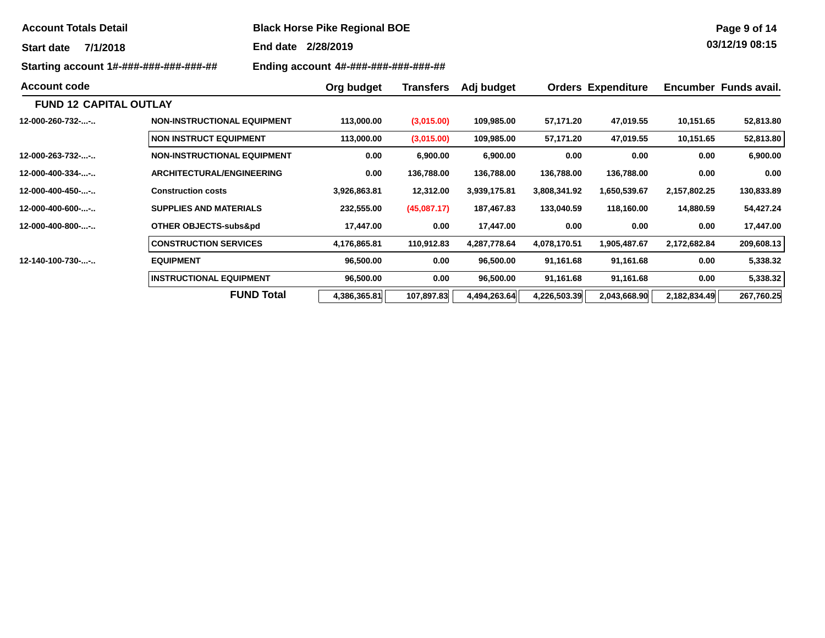| <b>Account Totals Detail</b>           |                                    | <b>Black Horse Pike Regional BOE</b> |                  |              |              |                           |              | Page 9 of 14          |  |  |  |
|----------------------------------------|------------------------------------|--------------------------------------|------------------|--------------|--------------|---------------------------|--------------|-----------------------|--|--|--|
| 7/1/2018<br><b>Start date</b>          |                                    | 2/28/2019<br>End date                |                  |              |              |                           |              | 03/12/19 08:15        |  |  |  |
| Starting account 1#-###-###-###-###-## |                                    | Ending account 4#-###-###-###-###-## |                  |              |              |                           |              |                       |  |  |  |
| <b>Account code</b>                    |                                    | Org budget                           | <b>Transfers</b> | Adj budget   |              | <b>Orders Expenditure</b> |              | Encumber Funds avail. |  |  |  |
| <b>FUND 12 CAPITAL OUTLAY</b>          |                                    |                                      |                  |              |              |                           |              |                       |  |  |  |
| 12-000-260-732--                       | <b>NON-INSTRUCTIONAL EQUIPMENT</b> | 113,000.00                           | (3,015.00)       | 109,985.00   | 57,171.20    | 47,019.55                 | 10,151.65    | 52,813.80             |  |  |  |
|                                        | <b>NON INSTRUCT EQUIPMENT</b>      | 113,000.00                           | (3,015.00)       | 109,985.00   | 57,171.20    | 47,019.55                 | 10,151.65    | 52,813.80             |  |  |  |
| 12-000-263-732--                       | <b>NON-INSTRUCTIONAL EQUIPMENT</b> | 0.00                                 | 6,900.00         | 6,900.00     | 0.00         | 0.00                      | 0.00         | 6,900.00              |  |  |  |
| 12-000-400-334--                       | <b>ARCHITECTURAL/ENGINEERING</b>   | 0.00                                 | 136,788.00       | 136,788.00   | 136,788.00   | 136,788.00                | 0.00         | 0.00                  |  |  |  |
| --12-000-400-450                       | <b>Construction costs</b>          | 3,926,863.81                         | 12,312.00        | 3,939,175.81 | 3,808,341.92 | 1,650,539.67              | 2,157,802.25 | 130,833.89            |  |  |  |
| 12-000-400-600--                       | <b>SUPPLIES AND MATERIALS</b>      | 232,555.00                           | (45,087.17)      | 187,467.83   | 133,040.59   | 118,160.00                | 14,880.59    | 54,427.24             |  |  |  |
| 12-000-400-800--                       | <b>OTHER OBJECTS-subs&amp;pd</b>   | 17,447.00                            | 0.00             | 17,447.00    | 0.00         | 0.00                      | 0.00         | 17,447.00             |  |  |  |
|                                        | <b>CONSTRUCTION SERVICES</b>       | 4,176,865.81                         | 110,912.83       | 4,287,778.64 | 4,078,170.51 | 1,905,487.67              | 2,172,682.84 | 209,608.13            |  |  |  |
| 12-140-100-730--                       | <b>EQUIPMENT</b>                   | 96,500.00                            | 0.00             | 96,500.00    | 91,161.68    | 91,161.68                 | 0.00         | 5,338.32              |  |  |  |
|                                        | <b>INSTRUCTIONAL EQUIPMENT</b>     | 96,500.00                            | 0.00             | 96,500.00    | 91,161.68    | 91,161.68                 | 0.00         | 5,338.32              |  |  |  |
|                                        | <b>FUND Total</b>                  | 4,386,365.81                         | 107,897.83       | 4,494,263.64 | 4,226,503.39 | 2,043,668.90              | 2,182,834.49 | 267,760.25            |  |  |  |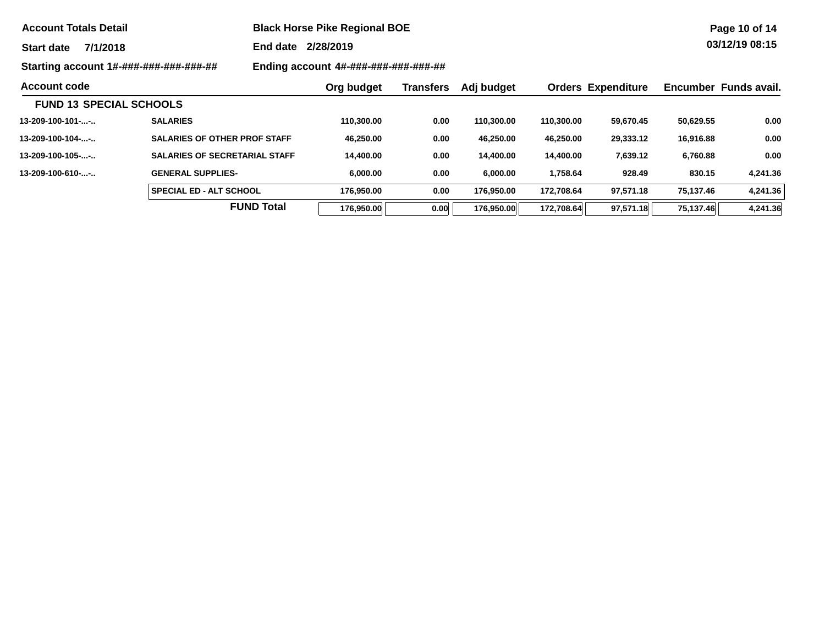| <b>Account Totals Detail</b> |  |  |  |
|------------------------------|--|--|--|
|------------------------------|--|--|--|

**Account Totals Detail Black Horse Pike Regional BOE** 

**End date 2/28/2019**

**Starting account 1#-###-###-###-###-## Ending account 4#-###-###-###-###-##**

|                                 |                                      | LIIUIIIY QUUUUIIL <del>TII TIII TIII TIII TIII TIII</del> |           |            |            |                           |           |                       |
|---------------------------------|--------------------------------------|-----------------------------------------------------------|-----------|------------|------------|---------------------------|-----------|-----------------------|
| <b>Account code</b>             |                                      | Org budget                                                | Transfers | Adj budget |            | <b>Orders Expenditure</b> |           | Encumber Funds avail. |
| <b>FUND 13 SPECIAL SCHOOLS</b>  |                                      |                                                           |           |            |            |                           |           |                       |
| $13 - 209 - 100 - 101 - \dots$  | <b>SALARIES</b>                      | 110.300.00                                                | 0.00      | 110.300.00 | 110.300.00 | 59.670.45                 | 50,629.55 | 0.00                  |
| $13 - 209 - 100 - 104 - \dots$  | <b>SALARIES OF OTHER PROF STAFF</b>  | 46.250.00                                                 | 0.00      | 46,250.00  | 46.250.00  | 29,333.12                 | 16,916.88 | 0.00                  |
| $13 - 209 - 100 - 105 - \ldots$ | <b>SALARIES OF SECRETARIAL STAFF</b> | 14,400.00                                                 | 0.00      | 14.400.00  | 14.400.00  | 7,639.12                  | 6,760.88  | 0.00                  |
| $13 - 209 - 100 - 610 - \ldots$ | <b>GENERAL SUPPLIES-</b>             | 6.000.00                                                  | 0.00      | 6.000.00   | 1.758.64   | 928.49                    | 830.15    | 4,241.36              |
|                                 | <b>SPECIAL ED - ALT SCHOOL</b>       | 176.950.00                                                | 0.00      | 176.950.00 | 172.708.64 | 97.571.18                 | 75.137.46 | 4.241.36              |
|                                 | <b>FUND Total</b>                    | 176.950.00                                                | 0.00      | 176.950.00 | 172.708.64 | 97.571.18                 | 75.137.46 | 4.241.36              |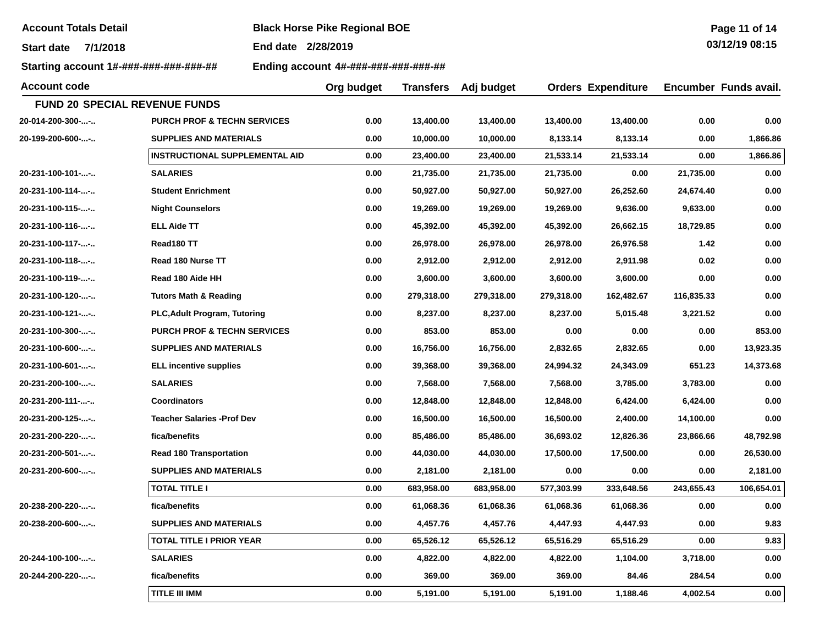**Account Totals Detail Black Horse Pike Regional BOE** 

**End date 2/28/2019**

**Starting account 1#-###-###-###-###-## Ending account 4#-###-###-###-###-##**

| <b>Account code</b> |                                        |      | <b>Transfers</b> | Adj budget |            | <b>Orders Expenditure</b> |            | Encumber Funds avail. |
|---------------------|----------------------------------------|------|------------------|------------|------------|---------------------------|------------|-----------------------|
|                     | FUND 20 SPECIAL REVENUE FUNDS          |      |                  |            |            |                           |            |                       |
| 20-014-200-300--    | <b>PURCH PROF &amp; TECHN SERVICES</b> | 0.00 | 13,400.00        | 13,400.00  | 13,400.00  | 13,400.00                 | 0.00       | 0.00                  |
| 20-199-200-600--    | <b>SUPPLIES AND MATERIALS</b>          | 0.00 | 10,000.00        | 10,000.00  | 8,133.14   | 8,133.14                  | 0.00       | 1,866.86              |
|                     | <b>INSTRUCTIONAL SUPPLEMENTAL AID</b>  | 0.00 | 23,400.00        | 23,400.00  | 21,533.14  | 21,533.14                 | 0.00       | 1,866.86              |
| 20-231-100-101--    | <b>SALARIES</b>                        | 0.00 | 21,735.00        | 21,735.00  | 21,735.00  | 0.00                      | 21,735.00  | 0.00                  |
| 20-231-100-114--    | <b>Student Enrichment</b>              | 0.00 | 50,927.00        | 50,927.00  | 50,927.00  | 26,252.60                 | 24,674.40  | 0.00                  |
| 20-231-100-115--    | <b>Night Counselors</b>                | 0.00 | 19,269.00        | 19,269.00  | 19,269.00  | 9,636.00                  | 9,633.00   | 0.00                  |
| 20-231-100-116--    | <b>ELL Aide TT</b>                     | 0.00 | 45,392.00        | 45,392.00  | 45,392.00  | 26,662.15                 | 18,729.85  | 0.00                  |
| 20-231-100-117--    | Read180 TT                             | 0.00 | 26,978.00        | 26,978.00  | 26,978.00  | 26,976.58                 | 1.42       | 0.00                  |
| 20-231-100-118--    | Read 180 Nurse TT                      | 0.00 | 2,912.00         | 2,912.00   | 2,912.00   | 2,911.98                  | 0.02       | 0.00                  |
| 20-231-100-119--    | Read 180 Aide HH                       | 0.00 | 3,600.00         | 3,600.00   | 3,600.00   | 3,600.00                  | 0.00       | 0.00                  |
| 20-231-100-120--    | <b>Tutors Math &amp; Reading</b>       | 0.00 | 279,318.00       | 279,318.00 | 279,318.00 | 162,482.67                | 116,835.33 | 0.00                  |
| 20-231-100-121--    | <b>PLC, Adult Program, Tutoring</b>    | 0.00 | 8,237.00         | 8,237.00   | 8,237.00   | 5,015.48                  | 3,221.52   | 0.00                  |
| 20-231-100-300--    | <b>PURCH PROF &amp; TECHN SERVICES</b> | 0.00 | 853.00           | 853.00     | 0.00       | 0.00                      | 0.00       | 853.00                |
| 20-231-100-600--    | <b>SUPPLIES AND MATERIALS</b>          | 0.00 | 16,756.00        | 16,756.00  | 2,832.65   | 2,832.65                  | 0.00       | 13,923.35             |
| 20-231-100-601--    | <b>ELL incentive supplies</b>          | 0.00 | 39,368.00        | 39,368.00  | 24,994.32  | 24,343.09                 | 651.23     | 14,373.68             |
| 20-231-200-100--    | <b>SALARIES</b>                        | 0.00 | 7,568.00         | 7,568.00   | 7,568.00   | 3,785.00                  | 3,783.00   | 0.00                  |
| 20-231-200-111--    | <b>Coordinators</b>                    | 0.00 | 12,848.00        | 12,848.00  | 12,848.00  | 6,424.00                  | 6,424.00   | 0.00                  |
| 20-231-200-125--    | <b>Teacher Salaries -Prof Dev</b>      | 0.00 | 16,500.00        | 16,500.00  | 16,500.00  | 2,400.00                  | 14,100.00  | 0.00                  |
| 20-231-200-220--    | fica/benefits                          | 0.00 | 85,486.00        | 85,486.00  | 36,693.02  | 12,826.36                 | 23,866.66  | 48,792.98             |
| 20-231-200-501--    | <b>Read 180 Transportation</b>         | 0.00 | 44,030.00        | 44,030.00  | 17,500.00  | 17,500.00                 | 0.00       | 26,530.00             |
| 20-231-200-600--    | <b>SUPPLIES AND MATERIALS</b>          | 0.00 | 2,181.00         | 2,181.00   | 0.00       | 0.00                      | 0.00       | 2,181.00              |
|                     | <b>TOTAL TITLE I</b>                   | 0.00 | 683,958.00       | 683,958.00 | 577,303.99 | 333,648.56                | 243,655.43 | 106,654.01            |
| 20-238-200-220--    | fica/benefits                          | 0.00 | 61,068.36        | 61,068.36  | 61,068.36  | 61,068.36                 | 0.00       | 0.00                  |
| 20-238-200-600--    | <b>SUPPLIES AND MATERIALS</b>          | 0.00 | 4,457.76         | 4,457.76   | 4,447.93   | 4,447.93                  | 0.00       | 9.83                  |
|                     | TOTAL TITLE I PRIOR YEAR               | 0.00 | 65,526.12        | 65,526.12  | 65,516.29  | 65,516.29                 | 0.00       | 9.83                  |
| 20-244-100-100--    | <b>SALARIES</b>                        | 0.00 | 4,822.00         | 4,822.00   | 4,822.00   | 1,104.00                  | 3,718.00   | 0.00                  |
| 20-244-200-220--    | fica/benefits                          | 0.00 | 369.00           | 369.00     | 369.00     | 84.46                     | 284.54     | 0.00                  |
|                     | TITLE III IMM                          | 0.00 | 5,191.00         | 5,191.00   | 5,191.00   | 1,188.46                  | 4,002.54   | 0.00                  |

**Page 11 of 14 03/12/19 08:15**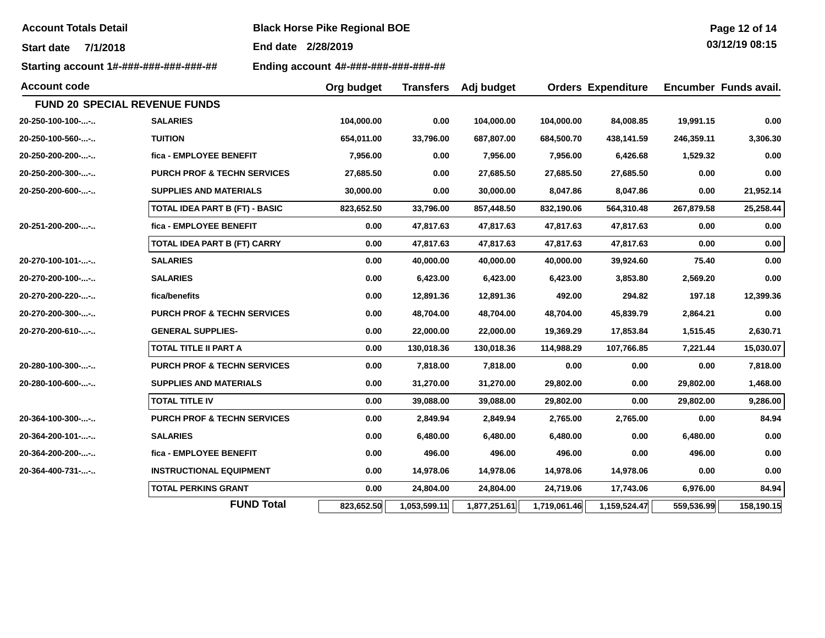**Account Totals Detail Black Horse Pike Regional BOE** 

**End date 2/28/2019**

**Starting account 1#-###-###-###-###-## Ending account 4#-###-###-###-###-##**

| Page 12 of 14         |  |  |
|-----------------------|--|--|
| <u>በ3/12/19 በጸ·15</u> |  |  |

| <b>Account code</b>                  |                                        | Org budget | <b>Transfers</b> | Adj budget   |              | <b>Orders Expenditure</b> |            | Encumber Funds avail. |
|--------------------------------------|----------------------------------------|------------|------------------|--------------|--------------|---------------------------|------------|-----------------------|
| <b>FUND 20 SPECIAL REVENUE FUNDS</b> |                                        |            |                  |              |              |                           |            |                       |
| 20-250-100-100--                     | <b>SALARIES</b>                        | 104,000.00 | 0.00             | 104,000.00   | 104,000.00   | 84,008.85                 | 19,991.15  | 0.00                  |
| 20-250-100-560--                     | <b>TUITION</b>                         | 654,011.00 | 33,796.00        | 687,807.00   | 684,500.70   | 438,141.59                | 246,359.11 | 3,306.30              |
| 20-250-200-200--                     | fica - EMPLOYEE BENEFIT                | 7,956.00   | 0.00             | 7,956.00     | 7,956.00     | 6,426.68                  | 1,529.32   | 0.00                  |
| 20-250-200-300--                     | <b>PURCH PROF &amp; TECHN SERVICES</b> | 27,685.50  | 0.00             | 27,685.50    | 27,685.50    | 27,685.50                 | 0.00       | 0.00                  |
| 20-250-200-600--                     | <b>SUPPLIES AND MATERIALS</b>          | 30,000.00  | 0.00             | 30,000.00    | 8,047.86     | 8,047.86                  | 0.00       | 21,952.14             |
|                                      | <b>TOTAL IDEA PART B (FT) - BASIC</b>  | 823,652.50 | 33,796.00        | 857,448.50   | 832,190.06   | 564,310.48                | 267,879.58 | 25,258.44             |
| 20-251-200-200--                     | fica - EMPLOYEE BENEFIT                | 0.00       | 47,817.63        | 47,817.63    | 47,817.63    | 47,817.63                 | 0.00       | 0.00                  |
|                                      | TOTAL IDEA PART B (FT) CARRY           | 0.00       | 47,817.63        | 47,817.63    | 47,817.63    | 47,817.63                 | 0.00       | 0.00                  |
| 20-270-100-101--                     | <b>SALARIES</b>                        | 0.00       | 40,000.00        | 40,000.00    | 40,000.00    | 39,924.60                 | 75.40      | 0.00                  |
| 20-270-200-100--                     | <b>SALARIES</b>                        | 0.00       | 6,423.00         | 6,423.00     | 6,423.00     | 3,853.80                  | 2,569.20   | 0.00                  |
| 20-270-200-220--                     | fica/benefits                          | 0.00       | 12,891.36        | 12,891.36    | 492.00       | 294.82                    | 197.18     | 12,399.36             |
| 20-270-200-300--                     | <b>PURCH PROF &amp; TECHN SERVICES</b> | 0.00       | 48,704.00        | 48,704.00    | 48,704.00    | 45,839.79                 | 2,864.21   | 0.00                  |
| 20-270-200-610--                     | <b>GENERAL SUPPLIES-</b>               | 0.00       | 22,000.00        | 22,000.00    | 19,369.29    | 17,853.84                 | 1,515.45   | 2,630.71              |
|                                      | <b>TOTAL TITLE II PART A</b>           | 0.00       | 130,018.36       | 130,018.36   | 114,988.29   | 107,766.85                | 7,221.44   | 15,030.07             |
| 20-280-100-300--                     | <b>PURCH PROF &amp; TECHN SERVICES</b> | 0.00       | 7,818.00         | 7,818.00     | 0.00         | 0.00                      | 0.00       | 7,818.00              |
| 20-280-100-600--                     | <b>SUPPLIES AND MATERIALS</b>          | 0.00       | 31,270.00        | 31,270.00    | 29,802.00    | 0.00                      | 29,802.00  | 1,468.00              |
|                                      | <b>TOTAL TITLE IV</b>                  | 0.00       | 39,088.00        | 39,088.00    | 29,802.00    | 0.00                      | 29,802.00  | 9,286.00              |
| $20 - 364 - 100 - 300 - \dots -$     | <b>PURCH PROF &amp; TECHN SERVICES</b> | 0.00       | 2,849.94         | 2,849.94     | 2,765.00     | 2,765.00                  | 0.00       | 84.94                 |
| 20-364-200-101--                     | <b>SALARIES</b>                        | 0.00       | 6,480.00         | 6,480.00     | 6,480.00     | 0.00                      | 6,480.00   | 0.00                  |
| 20-364-200-200--                     | fica - EMPLOYEE BENEFIT                | 0.00       | 496.00           | 496.00       | 496.00       | 0.00                      | 496.00     | 0.00                  |
| 20-364-400-731--                     | <b>INSTRUCTIONAL EQUIPMENT</b>         | 0.00       | 14,978.06        | 14,978.06    | 14,978.06    | 14,978.06                 | 0.00       | 0.00                  |
|                                      | <b>TOTAL PERKINS GRANT</b>             | 0.00       | 24,804.00        | 24,804.00    | 24,719.06    | 17,743.06                 | 6,976.00   | 84.94                 |
|                                      | <b>FUND Total</b>                      | 823,652.50 | 1,053,599.11     | 1,877,251.61 | 1,719,061.46 | 1,159,524.47              | 559,536.99 | 158,190.15            |
|                                      |                                        |            |                  |              |              |                           |            |                       |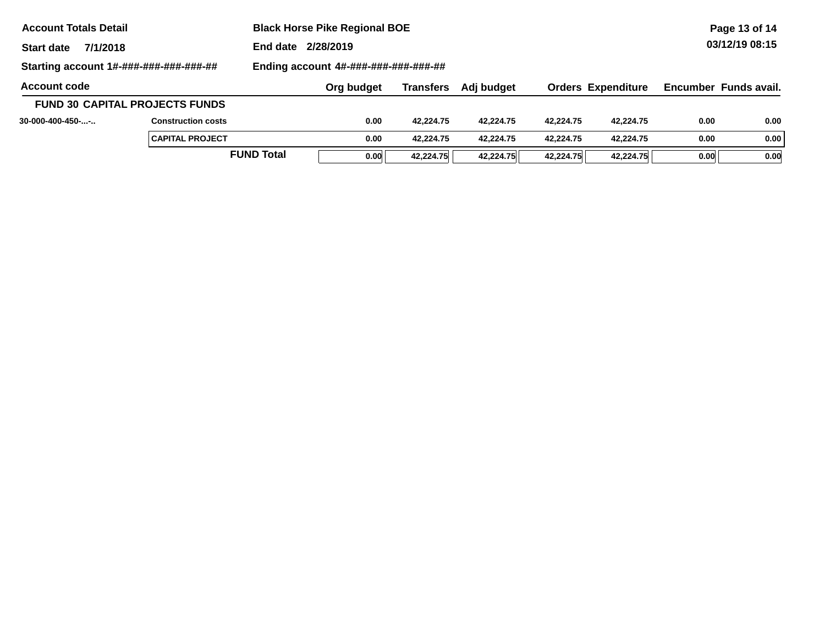| <b>Account Totals Detail</b>           |                                       |                   | <b>Black Horse Pike Regional BOE</b> |           |            |                |                           |      | Page 13 of 14         |  |  |
|----------------------------------------|---------------------------------------|-------------------|--------------------------------------|-----------|------------|----------------|---------------------------|------|-----------------------|--|--|
| 7/1/2018<br><b>Start date</b>          |                                       |                   | End date 2/28/2019                   |           |            | 03/12/19 08:15 |                           |      |                       |  |  |
| Starting account 1#-###-###-###-###-## |                                       |                   | Ending account 4#-###-###-###-###-## |           |            |                |                           |      |                       |  |  |
| <b>Account code</b>                    |                                       |                   | Org budget                           | Transfers | Adj budget |                | <b>Orders Expenditure</b> |      | Encumber Funds avail. |  |  |
|                                        | <b>FUND 30 CAPITAL PROJECTS FUNDS</b> |                   |                                      |           |            |                |                           |      |                       |  |  |
| $30-000-400-450-$ -                    | <b>Construction costs</b>             |                   | 0.00                                 | 42.224.75 | 42.224.75  | 42.224.75      | 42.224.75                 | 0.00 | 0.00                  |  |  |
|                                        | <b>CAPITAL PROJECT</b>                |                   | 0.00                                 | 42.224.75 | 42.224.75  | 42.224.75      | 42.224.75                 | 0.00 | 0.00                  |  |  |
|                                        |                                       | <b>FUND Total</b> | 0.00                                 | 42.224.75 | 42.224.75  | 42.224.75      | 42.224.75                 | 0.00 | 0.00                  |  |  |